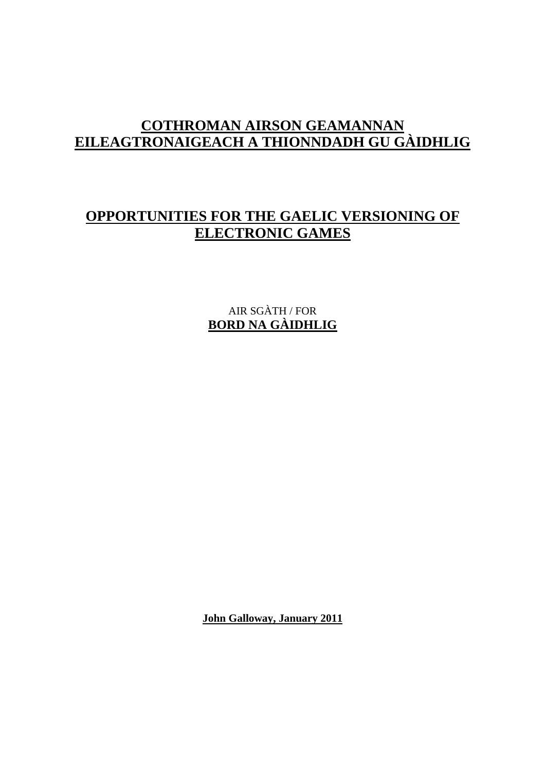# **COTHROMAN AIRSON GEAMANNAN EILEAGTRONAIGEACH A THIONNDADH GU GÀIDHLIG**

# **OPPORTUNITIES FOR THE GAELIC VERSIONING OF ELECTRONIC GAMES**

AIR SGÀTH / FOR **BORD NA GÀIDHLIG**

**John Galloway, January 2011**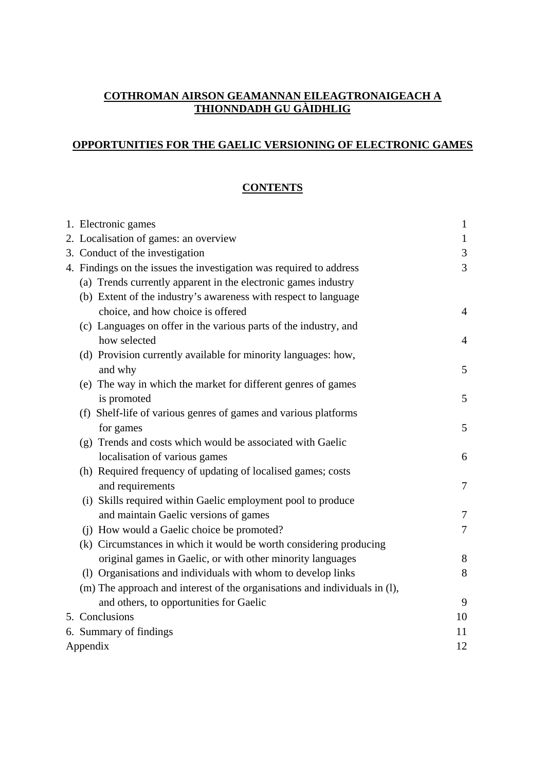#### **COTHROMAN AIRSON GEAMANNAN EILEAGTRONAIGEACH A THIONNDADH GU GÀIDHLIG**

### **OPPORTUNITIES FOR THE GAELIC VERSIONING OF ELECTRONIC GAMES**

# **CONTENTS**

|          | 1. Electronic games                                                        | $\mathbf{1}$   |
|----------|----------------------------------------------------------------------------|----------------|
|          | 2. Localisation of games: an overview                                      | $\mathbf{1}$   |
|          | 3. Conduct of the investigation                                            | 3              |
|          | 4. Findings on the issues the investigation was required to address        |                |
|          | (a) Trends currently apparent in the electronic games industry             |                |
|          | (b) Extent of the industry's awareness with respect to language            |                |
|          | choice, and how choice is offered                                          | $\overline{4}$ |
|          | (c) Languages on offer in the various parts of the industry, and           |                |
|          | how selected                                                               | $\overline{4}$ |
|          | (d) Provision currently available for minority languages: how,             |                |
|          | and why                                                                    | 5              |
|          | (e) The way in which the market for different genres of games              |                |
|          | is promoted                                                                | 5              |
|          | (f) Shelf-life of various genres of games and various platforms            |                |
|          | for games                                                                  | 5              |
|          | (g) Trends and costs which would be associated with Gaelic                 |                |
|          | localisation of various games                                              | 6              |
|          | (h) Required frequency of updating of localised games; costs               |                |
|          | and requirements                                                           | $\overline{7}$ |
|          | (i) Skills required within Gaelic employment pool to produce               |                |
|          | and maintain Gaelic versions of games                                      | $\overline{7}$ |
|          | (j) How would a Gaelic choice be promoted?                                 | $\overline{7}$ |
|          | (k) Circumstances in which it would be worth considering producing         |                |
|          | original games in Gaelic, or with other minority languages                 | 8              |
|          | (1) Organisations and individuals with whom to develop links               | $8\,$          |
|          | (m) The approach and interest of the organisations and individuals in (l), |                |
|          | and others, to opportunities for Gaelic                                    | 9              |
|          | 5. Conclusions                                                             | 10             |
|          | 6. Summary of findings                                                     | 11             |
| Appendix |                                                                            | 12             |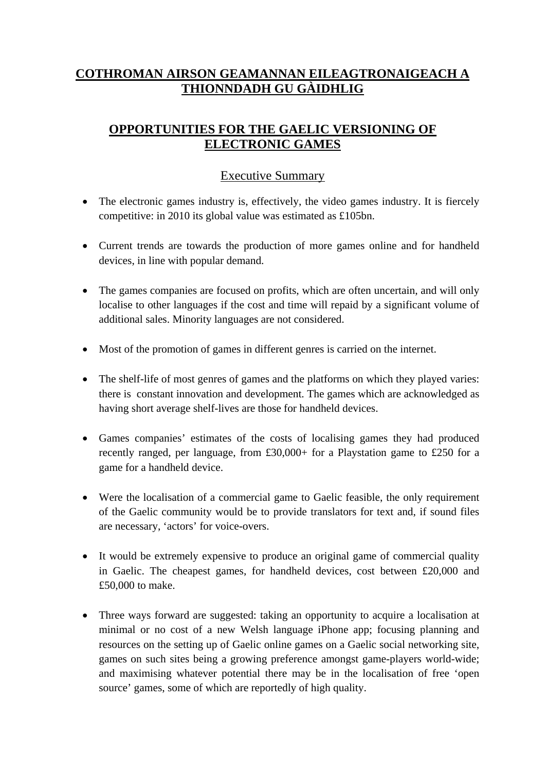# **COTHROMAN AIRSON GEAMANNAN EILEAGTRONAIGEACH A THIONNDADH GU GÀIDHLIG**

# **OPPORTUNITIES FOR THE GAELIC VERSIONING OF ELECTRONIC GAMES**

# Executive Summary

- The electronic games industry is, effectively, the video games industry. It is fiercely competitive: in 2010 its global value was estimated as £105bn.
- Current trends are towards the production of more games online and for handheld devices, in line with popular demand.
- The games companies are focused on profits, which are often uncertain, and will only localise to other languages if the cost and time will repaid by a significant volume of additional sales. Minority languages are not considered.
- Most of the promotion of games in different genres is carried on the internet.
- The shelf-life of most genres of games and the platforms on which they played varies: there is constant innovation and development. The games which are acknowledged as having short average shelf-lives are those for handheld devices.
- Games companies' estimates of the costs of localising games they had produced recently ranged, per language, from £30,000+ for a Playstation game to £250 for a game for a handheld device.
- Were the localisation of a commercial game to Gaelic feasible, the only requirement of the Gaelic community would be to provide translators for text and, if sound files are necessary, 'actors' for voice-overs.
- It would be extremely expensive to produce an original game of commercial quality in Gaelic. The cheapest games, for handheld devices, cost between £20,000 and £50,000 to make.
- Three ways forward are suggested: taking an opportunity to acquire a localisation at minimal or no cost of a new Welsh language iPhone app; focusing planning and resources on the setting up of Gaelic online games on a Gaelic social networking site, games on such sites being a growing preference amongst game-players world-wide; and maximising whatever potential there may be in the localisation of free 'open source' games, some of which are reportedly of high quality.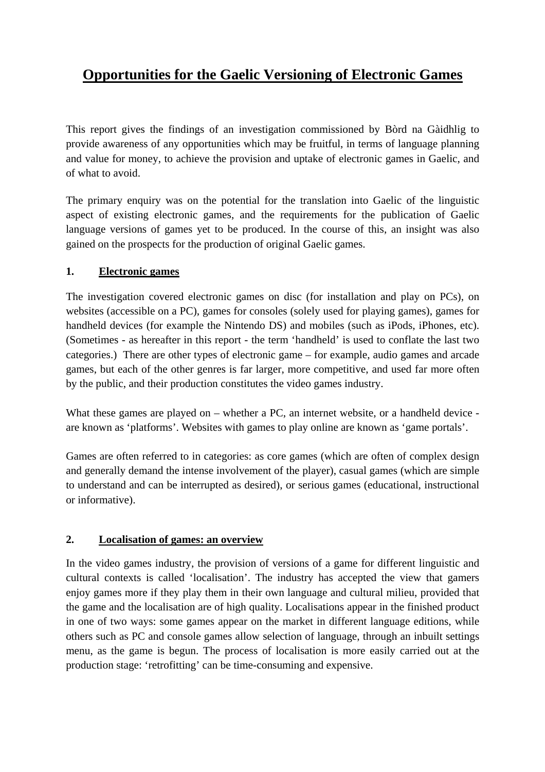# **Opportunities for the Gaelic Versioning of Electronic Games**

This report gives the findings of an investigation commissioned by Bòrd na Gàidhlig to provide awareness of any opportunities which may be fruitful, in terms of language planning and value for money, to achieve the provision and uptake of electronic games in Gaelic, and of what to avoid.

The primary enquiry was on the potential for the translation into Gaelic of the linguistic aspect of existing electronic games, and the requirements for the publication of Gaelic language versions of games yet to be produced. In the course of this, an insight was also gained on the prospects for the production of original Gaelic games.

#### **1. Electronic games**

The investigation covered electronic games on disc (for installation and play on PCs), on websites (accessible on a PC), games for consoles (solely used for playing games), games for handheld devices (for example the Nintendo DS) and mobiles (such as iPods, iPhones, etc). (Sometimes - as hereafter in this report - the term 'handheld' is used to conflate the last two categories.) There are other types of electronic game – for example, audio games and arcade games, but each of the other genres is far larger, more competitive, and used far more often by the public, and their production constitutes the video games industry.

What these games are played on – whether a PC, an internet website, or a handheld device are known as 'platforms'. Websites with games to play online are known as 'game portals'.

Games are often referred to in categories: as core games (which are often of complex design and generally demand the intense involvement of the player), casual games (which are simple to understand and can be interrupted as desired), or serious games (educational, instructional or informative).

#### **2. Localisation of games: an overview**

In the video games industry, the provision of versions of a game for different linguistic and cultural contexts is called 'localisation'. The industry has accepted the view that gamers enjoy games more if they play them in their own language and cultural milieu, provided that the game and the localisation are of high quality. Localisations appear in the finished product in one of two ways: some games appear on the market in different language editions, while others such as PC and console games allow selection of language, through an inbuilt settings menu, as the game is begun. The process of localisation is more easily carried out at the production stage: 'retrofitting' can be time-consuming and expensive.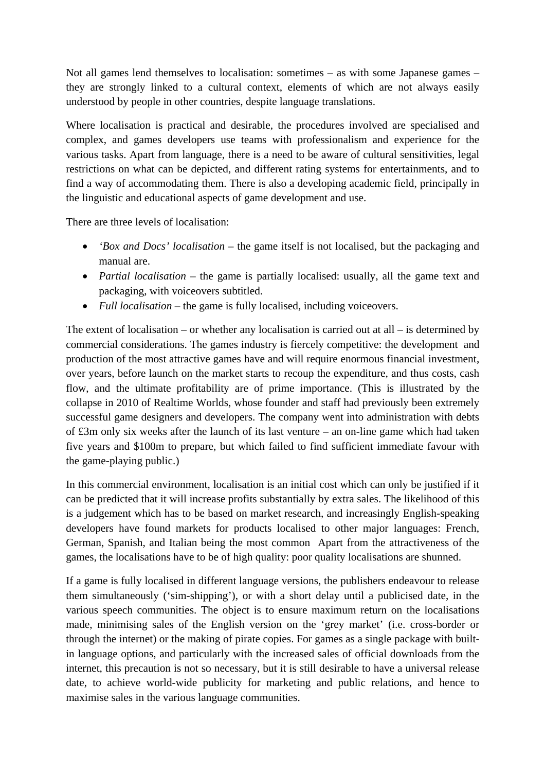Not all games lend themselves to localisation: sometimes – as with some Japanese games – they are strongly linked to a cultural context, elements of which are not always easily understood by people in other countries, despite language translations.

Where localisation is practical and desirable, the procedures involved are specialised and complex, and games developers use teams with professionalism and experience for the various tasks. Apart from language, there is a need to be aware of cultural sensitivities, legal restrictions on what can be depicted, and different rating systems for entertainments, and to find a way of accommodating them. There is also a developing academic field, principally in the linguistic and educational aspects of game development and use.

There are three levels of localisation:

- *'Box and Docs' localisation* the game itself is not localised, but the packaging and manual are.
- *Partial localisation* the game is partially localised: usually, all the game text and packaging, with voiceovers subtitled.
- *Full localisation* the game is fully localised, including voiceovers.

The extent of localisation – or whether any localisation is carried out at all – is determined by commercial considerations. The games industry is fiercely competitive: the development and production of the most attractive games have and will require enormous financial investment, over years, before launch on the market starts to recoup the expenditure, and thus costs, cash flow, and the ultimate profitability are of prime importance. (This is illustrated by the collapse in 2010 of Realtime Worlds, whose founder and staff had previously been extremely successful game designers and developers. The company went into administration with debts of £3m only six weeks after the launch of its last venture – an on-line game which had taken five years and \$100m to prepare, but which failed to find sufficient immediate favour with the game-playing public.)

In this commercial environment, localisation is an initial cost which can only be justified if it can be predicted that it will increase profits substantially by extra sales. The likelihood of this is a judgement which has to be based on market research, and increasingly English-speaking developers have found markets for products localised to other major languages: French, German, Spanish, and Italian being the most common Apart from the attractiveness of the games, the localisations have to be of high quality: poor quality localisations are shunned.

If a game is fully localised in different language versions, the publishers endeavour to release them simultaneously ('sim-shipping'), or with a short delay until a publicised date, in the various speech communities. The object is to ensure maximum return on the localisations made, minimising sales of the English version on the 'grey market' (i.e. cross-border or through the internet) or the making of pirate copies. For games as a single package with builtin language options, and particularly with the increased sales of official downloads from the internet, this precaution is not so necessary, but it is still desirable to have a universal release date, to achieve world-wide publicity for marketing and public relations, and hence to maximise sales in the various language communities.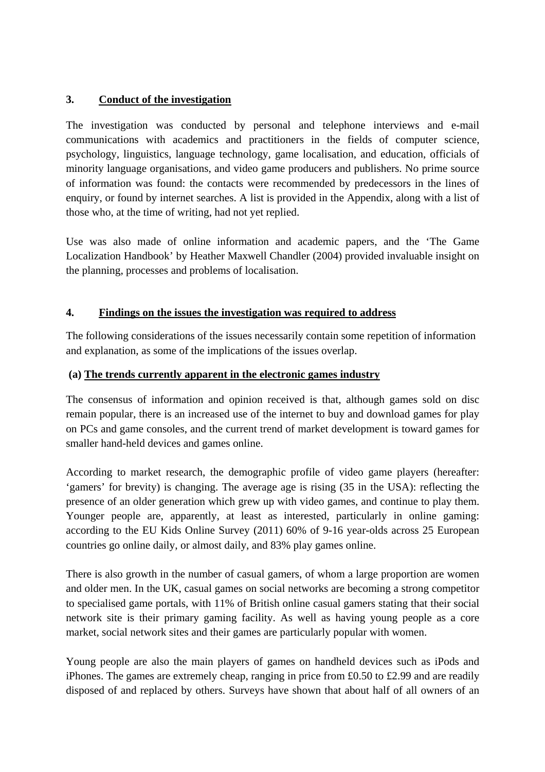#### **3. Conduct of the investigation**

The investigation was conducted by personal and telephone interviews and e-mail communications with academics and practitioners in the fields of computer science, psychology, linguistics, language technology, game localisation, and education, officials of minority language organisations, and video game producers and publishers. No prime source of information was found: the contacts were recommended by predecessors in the lines of enquiry, or found by internet searches. A list is provided in the Appendix, along with a list of those who, at the time of writing, had not yet replied.

Use was also made of online information and academic papers, and the 'The Game Localization Handbook' by Heather Maxwell Chandler (2004) provided invaluable insight on the planning, processes and problems of localisation.

#### **4. Findings on the issues the investigation was required to address**

The following considerations of the issues necessarily contain some repetition of information and explanation, as some of the implications of the issues overlap.

#### **(a) The trends currently apparent in the electronic games industry**

The consensus of information and opinion received is that, although games sold on disc remain popular, there is an increased use of the internet to buy and download games for play on PCs and game consoles, and the current trend of market development is toward games for smaller hand-held devices and games online.

According to market research, the demographic profile of video game players (hereafter: 'gamers' for brevity) is changing. The average age is rising (35 in the USA): reflecting the presence of an older generation which grew up with video games, and continue to play them. Younger people are, apparently, at least as interested, particularly in online gaming: according to the EU Kids Online Survey (2011) 60% of 9-16 year-olds across 25 European countries go online daily, or almost daily, and 83% play games online.

There is also growth in the number of casual gamers, of whom a large proportion are women and older men. In the UK, casual games on social networks are becoming a strong competitor to specialised game portals, with 11% of British online casual gamers stating that their social network site is their primary gaming facility. As well as having young people as a core market, social network sites and their games are particularly popular with women.

Young people are also the main players of games on handheld devices such as iPods and iPhones. The games are extremely cheap, ranging in price from £0.50 to £2.99 and are readily disposed of and replaced by others. Surveys have shown that about half of all owners of an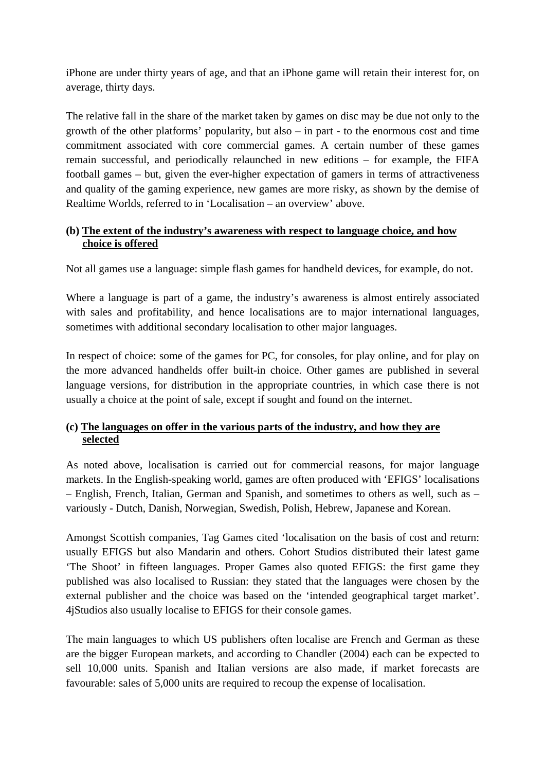iPhone are under thirty years of age, and that an iPhone game will retain their interest for, on average, thirty days.

The relative fall in the share of the market taken by games on disc may be due not only to the growth of the other platforms' popularity, but also – in part - to the enormous cost and time commitment associated with core commercial games. A certain number of these games remain successful, and periodically relaunched in new editions – for example, the FIFA football games – but, given the ever-higher expectation of gamers in terms of attractiveness and quality of the gaming experience, new games are more risky, as shown by the demise of Realtime Worlds, referred to in 'Localisation – an overview' above.

#### **(b) The extent of the industry's awareness with respect to language choice, and how choice is offered**

Not all games use a language: simple flash games for handheld devices, for example, do not.

Where a language is part of a game, the industry's awareness is almost entirely associated with sales and profitability, and hence localisations are to major international languages, sometimes with additional secondary localisation to other major languages.

In respect of choice: some of the games for PC, for consoles, for play online, and for play on the more advanced handhelds offer built-in choice. Other games are published in several language versions, for distribution in the appropriate countries, in which case there is not usually a choice at the point of sale, except if sought and found on the internet.

#### **(c) The languages on offer in the various parts of the industry, and how they are selected**

As noted above, localisation is carried out for commercial reasons, for major language markets. In the English-speaking world, games are often produced with 'EFIGS' localisations – English, French, Italian, German and Spanish, and sometimes to others as well, such as – variously - Dutch, Danish, Norwegian, Swedish, Polish, Hebrew, Japanese and Korean.

Amongst Scottish companies, Tag Games cited 'localisation on the basis of cost and return: usually EFIGS but also Mandarin and others. Cohort Studios distributed their latest game 'The Shoot' in fifteen languages. Proper Games also quoted EFIGS: the first game they published was also localised to Russian: they stated that the languages were chosen by the external publisher and the choice was based on the 'intended geographical target market'. 4jStudios also usually localise to EFIGS for their console games.

The main languages to which US publishers often localise are French and German as these are the bigger European markets, and according to Chandler (2004) each can be expected to sell 10,000 units. Spanish and Italian versions are also made, if market forecasts are favourable: sales of 5,000 units are required to recoup the expense of localisation.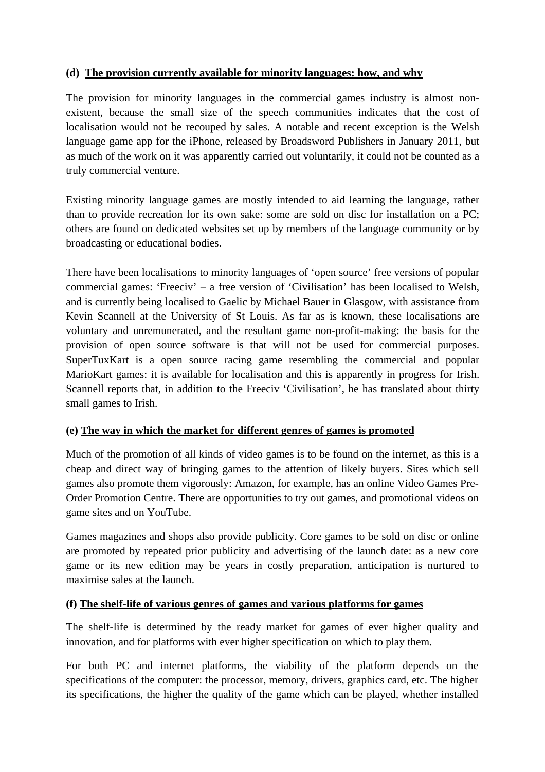#### **(d) The provision currently available for minority languages: how, and why**

The provision for minority languages in the commercial games industry is almost nonexistent, because the small size of the speech communities indicates that the cost of localisation would not be recouped by sales. A notable and recent exception is the Welsh language game app for the iPhone, released by Broadsword Publishers in January 2011, but as much of the work on it was apparently carried out voluntarily, it could not be counted as a truly commercial venture.

Existing minority language games are mostly intended to aid learning the language, rather than to provide recreation for its own sake: some are sold on disc for installation on a PC; others are found on dedicated websites set up by members of the language community or by broadcasting or educational bodies.

There have been localisations to minority languages of 'open source' free versions of popular commercial games: 'Freeciv' – a free version of 'Civilisation' has been localised to Welsh, and is currently being localised to Gaelic by Michael Bauer in Glasgow, with assistance from Kevin Scannell at the University of St Louis. As far as is known, these localisations are voluntary and unremunerated, and the resultant game non-profit-making: the basis for the provision of open source software is that will not be used for commercial purposes. SuperTuxKart is a open source racing game resembling the commercial and popular MarioKart games: it is available for localisation and this is apparently in progress for Irish. Scannell reports that, in addition to the Freeciv 'Civilisation', he has translated about thirty small games to Irish.

#### **(e) The way in which the market for different genres of games is promoted**

Much of the promotion of all kinds of video games is to be found on the internet, as this is a cheap and direct way of bringing games to the attention of likely buyers. Sites which sell games also promote them vigorously: Amazon, for example, has an online Video Games Pre-Order Promotion Centre. There are opportunities to try out games, and promotional videos on game sites and on YouTube.

Games magazines and shops also provide publicity. Core games to be sold on disc or online are promoted by repeated prior publicity and advertising of the launch date: as a new core game or its new edition may be years in costly preparation, anticipation is nurtured to maximise sales at the launch.

## **(f) The shelf-life of various genres of games and various platforms for games**

The shelf-life is determined by the ready market for games of ever higher quality and innovation, and for platforms with ever higher specification on which to play them.

For both PC and internet platforms, the viability of the platform depends on the specifications of the computer: the processor, memory, drivers, graphics card, etc. The higher its specifications, the higher the quality of the game which can be played, whether installed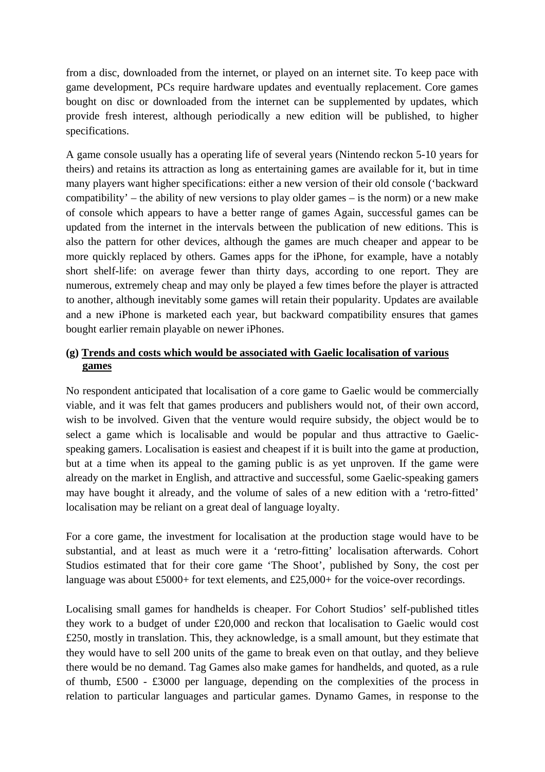from a disc, downloaded from the internet, or played on an internet site. To keep pace with game development, PCs require hardware updates and eventually replacement. Core games bought on disc or downloaded from the internet can be supplemented by updates, which provide fresh interest, although periodically a new edition will be published, to higher specifications.

A game console usually has a operating life of several years (Nintendo reckon 5-10 years for theirs) and retains its attraction as long as entertaining games are available for it, but in time many players want higher specifications: either a new version of their old console ('backward compatibility' – the ability of new versions to play older games – is the norm) or a new make of console which appears to have a better range of games Again, successful games can be updated from the internet in the intervals between the publication of new editions. This is also the pattern for other devices, although the games are much cheaper and appear to be more quickly replaced by others. Games apps for the iPhone, for example, have a notably short shelf-life: on average fewer than thirty days, according to one report. They are numerous, extremely cheap and may only be played a few times before the player is attracted to another, although inevitably some games will retain their popularity. Updates are available and a new iPhone is marketed each year, but backward compatibility ensures that games bought earlier remain playable on newer iPhones.

#### **(g) Trends and costs which would be associated with Gaelic localisation of various games**

No respondent anticipated that localisation of a core game to Gaelic would be commercially viable, and it was felt that games producers and publishers would not, of their own accord, wish to be involved. Given that the venture would require subsidy, the object would be to select a game which is localisable and would be popular and thus attractive to Gaelicspeaking gamers. Localisation is easiest and cheapest if it is built into the game at production, but at a time when its appeal to the gaming public is as yet unproven. If the game were already on the market in English, and attractive and successful, some Gaelic-speaking gamers may have bought it already, and the volume of sales of a new edition with a 'retro-fitted' localisation may be reliant on a great deal of language loyalty.

For a core game, the investment for localisation at the production stage would have to be substantial, and at least as much were it a 'retro-fitting' localisation afterwards. Cohort Studios estimated that for their core game 'The Shoot', published by Sony, the cost per language was about £5000+ for text elements, and £25,000+ for the voice-over recordings.

Localising small games for handhelds is cheaper. For Cohort Studios' self-published titles they work to a budget of under £20,000 and reckon that localisation to Gaelic would cost £250, mostly in translation. This, they acknowledge, is a small amount, but they estimate that they would have to sell 200 units of the game to break even on that outlay, and they believe there would be no demand. Tag Games also make games for handhelds, and quoted, as a rule of thumb, £500 - £3000 per language, depending on the complexities of the process in relation to particular languages and particular games. Dynamo Games, in response to the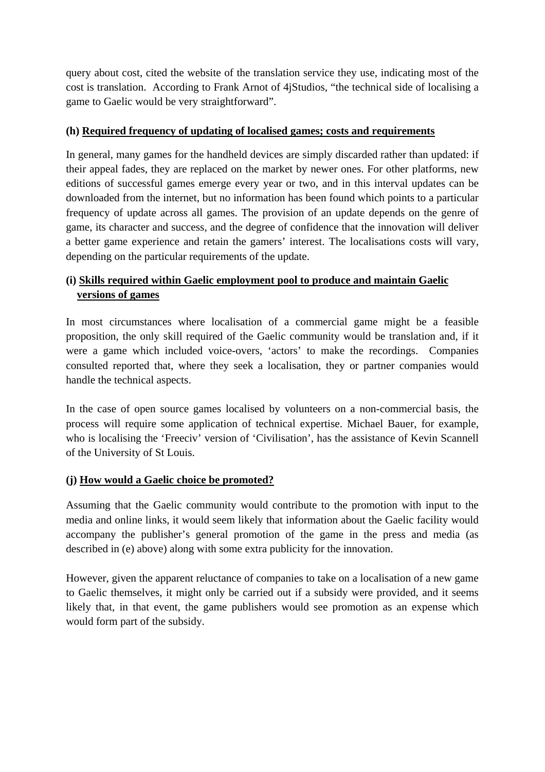query about cost, cited the website of the translation service they use, indicating most of the cost is translation. According to Frank Arnot of 4jStudios, "the technical side of localising a game to Gaelic would be very straightforward".

#### **(h) Required frequency of updating of localised games; costs and requirements**

In general, many games for the handheld devices are simply discarded rather than updated: if their appeal fades, they are replaced on the market by newer ones. For other platforms, new editions of successful games emerge every year or two, and in this interval updates can be downloaded from the internet, but no information has been found which points to a particular frequency of update across all games. The provision of an update depends on the genre of game, its character and success, and the degree of confidence that the innovation will deliver a better game experience and retain the gamers' interest. The localisations costs will vary, depending on the particular requirements of the update.

# **(i) Skills required within Gaelic employment pool to produce and maintain Gaelic versions of games**

In most circumstances where localisation of a commercial game might be a feasible proposition, the only skill required of the Gaelic community would be translation and, if it were a game which included voice-overs, 'actors' to make the recordings. Companies consulted reported that, where they seek a localisation, they or partner companies would handle the technical aspects.

In the case of open source games localised by volunteers on a non-commercial basis, the process will require some application of technical expertise. Michael Bauer, for example, who is localising the 'Freeciv' version of 'Civilisation', has the assistance of Kevin Scannell of the University of St Louis.

## **(j) How would a Gaelic choice be promoted?**

Assuming that the Gaelic community would contribute to the promotion with input to the media and online links, it would seem likely that information about the Gaelic facility would accompany the publisher's general promotion of the game in the press and media (as described in (e) above) along with some extra publicity for the innovation.

However, given the apparent reluctance of companies to take on a localisation of a new game to Gaelic themselves, it might only be carried out if a subsidy were provided, and it seems likely that, in that event, the game publishers would see promotion as an expense which would form part of the subsidy.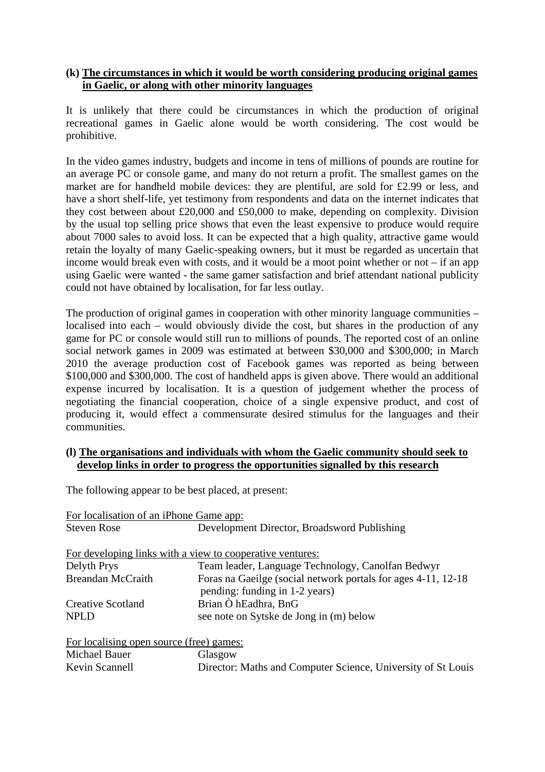#### **(k) The circumstances in which it would be worth considering producing original games in Gaelic, or along with other minority languages**

It is unlikely that there could be circumstances in which the production of original recreational games in Gaelic alone would be worth considering. The cost would be prohibitive.

In the video games industry, budgets and income in tens of millions of pounds are routine for an average PC or console game, and many do not return a profit. The smallest games on the market are for handheld mobile devices: they are plentiful, are sold for £2.99 or less, and have a short shelf-life, yet testimony from respondents and data on the internet indicates that they cost between about £20,000 and £50,000 to make, depending on complexity. Division by the usual top selling price shows that even the least expensive to produce would require about 7000 sales to avoid loss. It can be expected that a high quality, attractive game would retain the loyalty of many Gaelic-speaking owners, but it must be regarded as uncertain that income would break even with costs, and it would be a moot point whether or not – if an app using Gaelic were wanted - the same gamer satisfaction and brief attendant national publicity could not have obtained by localisation, for far less outlay.

The production of original games in cooperation with other minority language communities – localised into each – would obviously divide the cost, but shares in the production of any game for PC or console would still run to millions of pounds. The reported cost of an online social network games in 2009 was estimated at between \$30,000 and \$300,000; in March 2010 the average production cost of Facebook games was reported as being between \$100,000 and \$300,000. The cost of handheld apps is given above. There would an additional expense incurred by localisation. It is a question of judgement whether the process of negotiating the financial cooperation, choice of a single expensive product, and cost of producing it, would effect a commensurate desired stimulus for the languages and their communities.

#### **(l) The organisations and individuals with whom the Gaelic community should seek to develop links in order to progress the opportunities signalled by this research**

The following appear to be best placed, at present:

| For localisation of an iPhone Game app:                                                          |
|--------------------------------------------------------------------------------------------------|
| Development Director, Broadsword Publishing                                                      |
|                                                                                                  |
| For developing links with a view to cooperative ventures:                                        |
| Team leader, Language Technology, Canolfan Bedwyr                                                |
| Foras na Gaeilge (social network portals for ages 4-11, 12-18)<br>pending: funding in 1-2 years) |
| Brian Ò hEadhra, BnG                                                                             |
| see note on Sytske de Jong in (m) below                                                          |
| For localising open source (free) games:                                                         |
| Glasgow                                                                                          |
| Director: Maths and Computer Science, University of St Louis                                     |
|                                                                                                  |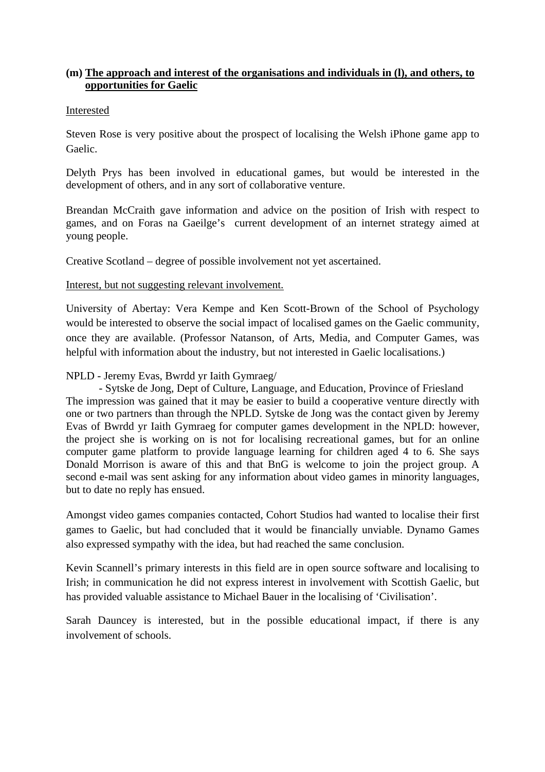#### **(m) The approach and interest of the organisations and individuals in (l), and others, to opportunities for Gaelic**

#### Interested

Steven Rose is very positive about the prospect of localising the Welsh iPhone game app to Gaelic.

Delyth Prys has been involved in educational games, but would be interested in the development of others, and in any sort of collaborative venture.

Breandan McCraith gave information and advice on the position of Irish with respect to games, and on Foras na Gaeilge's current development of an internet strategy aimed at young people.

Creative Scotland – degree of possible involvement not yet ascertained.

Interest, but not suggesting relevant involvement.

University of Abertay: Vera Kempe and Ken Scott-Brown of the School of Psychology would be interested to observe the social impact of localised games on the Gaelic community, once they are available. (Professor Natanson, of Arts, Media, and Computer Games, was helpful with information about the industry, but not interested in Gaelic localisations.)

#### NPLD - Jeremy Evas, Bwrdd yr Iaith Gymraeg/

- Sytske de Jong, Dept of Culture, Language, and Education, Province of Friesland The impression was gained that it may be easier to build a cooperative venture directly with one or two partners than through the NPLD. Sytske de Jong was the contact given by Jeremy Evas of Bwrdd yr Iaith Gymraeg for computer games development in the NPLD: however, the project she is working on is not for localising recreational games, but for an online computer game platform to provide language learning for children aged 4 to 6. She says Donald Morrison is aware of this and that BnG is welcome to join the project group. A second e-mail was sent asking for any information about video games in minority languages, but to date no reply has ensued.

Amongst video games companies contacted, Cohort Studios had wanted to localise their first games to Gaelic, but had concluded that it would be financially unviable. Dynamo Games also expressed sympathy with the idea, but had reached the same conclusion.

Kevin Scannell's primary interests in this field are in open source software and localising to Irish; in communication he did not express interest in involvement with Scottish Gaelic, but has provided valuable assistance to Michael Bauer in the localising of 'Civilisation'.

Sarah Dauncey is interested, but in the possible educational impact, if there is any involvement of schools.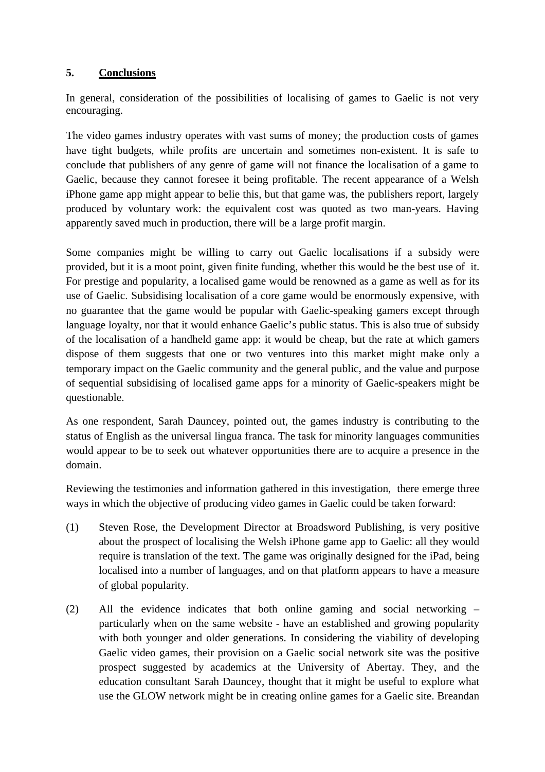#### **5. Conclusions**

In general, consideration of the possibilities of localising of games to Gaelic is not very encouraging.

The video games industry operates with vast sums of money; the production costs of games have tight budgets, while profits are uncertain and sometimes non-existent. It is safe to conclude that publishers of any genre of game will not finance the localisation of a game to Gaelic, because they cannot foresee it being profitable. The recent appearance of a Welsh iPhone game app might appear to belie this, but that game was, the publishers report, largely produced by voluntary work: the equivalent cost was quoted as two man-years. Having apparently saved much in production, there will be a large profit margin.

Some companies might be willing to carry out Gaelic localisations if a subsidy were provided, but it is a moot point, given finite funding, whether this would be the best use of it. For prestige and popularity, a localised game would be renowned as a game as well as for its use of Gaelic. Subsidising localisation of a core game would be enormously expensive, with no guarantee that the game would be popular with Gaelic-speaking gamers except through language loyalty, nor that it would enhance Gaelic's public status. This is also true of subsidy of the localisation of a handheld game app: it would be cheap, but the rate at which gamers dispose of them suggests that one or two ventures into this market might make only a temporary impact on the Gaelic community and the general public, and the value and purpose of sequential subsidising of localised game apps for a minority of Gaelic-speakers might be questionable.

As one respondent, Sarah Dauncey, pointed out, the games industry is contributing to the status of English as the universal lingua franca. The task for minority languages communities would appear to be to seek out whatever opportunities there are to acquire a presence in the domain.

Reviewing the testimonies and information gathered in this investigation, there emerge three ways in which the objective of producing video games in Gaelic could be taken forward:

- (1) Steven Rose, the Development Director at Broadsword Publishing, is very positive about the prospect of localising the Welsh iPhone game app to Gaelic: all they would require is translation of the text. The game was originally designed for the iPad, being localised into a number of languages, and on that platform appears to have a measure of global popularity.
- (2) All the evidence indicates that both online gaming and social networking particularly when on the same website - have an established and growing popularity with both younger and older generations. In considering the viability of developing Gaelic video games, their provision on a Gaelic social network site was the positive prospect suggested by academics at the University of Abertay. They, and the education consultant Sarah Dauncey, thought that it might be useful to explore what use the GLOW network might be in creating online games for a Gaelic site. Breandan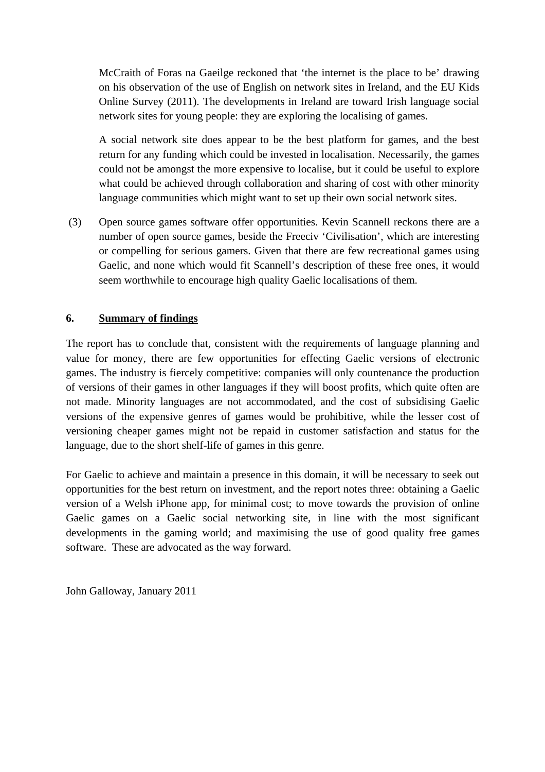McCraith of Foras na Gaeilge reckoned that 'the internet is the place to be' drawing on his observation of the use of English on network sites in Ireland, and the EU Kids Online Survey (2011). The developments in Ireland are toward Irish language social network sites for young people: they are exploring the localising of games.

 A social network site does appear to be the best platform for games, and the best return for any funding which could be invested in localisation. Necessarily, the games could not be amongst the more expensive to localise, but it could be useful to explore what could be achieved through collaboration and sharing of cost with other minority language communities which might want to set up their own social network sites.

 (3) Open source games software offer opportunities. Kevin Scannell reckons there are a number of open source games, beside the Freeciv 'Civilisation', which are interesting or compelling for serious gamers. Given that there are few recreational games using Gaelic, and none which would fit Scannell's description of these free ones, it would seem worthwhile to encourage high quality Gaelic localisations of them.

#### **6. Summary of findings**

The report has to conclude that, consistent with the requirements of language planning and value for money, there are few opportunities for effecting Gaelic versions of electronic games. The industry is fiercely competitive: companies will only countenance the production of versions of their games in other languages if they will boost profits, which quite often are not made. Minority languages are not accommodated, and the cost of subsidising Gaelic versions of the expensive genres of games would be prohibitive, while the lesser cost of versioning cheaper games might not be repaid in customer satisfaction and status for the language, due to the short shelf-life of games in this genre.

For Gaelic to achieve and maintain a presence in this domain, it will be necessary to seek out opportunities for the best return on investment, and the report notes three: obtaining a Gaelic version of a Welsh iPhone app, for minimal cost; to move towards the provision of online Gaelic games on a Gaelic social networking site, in line with the most significant developments in the gaming world; and maximising the use of good quality free games software. These are advocated as the way forward.

John Galloway, January 2011